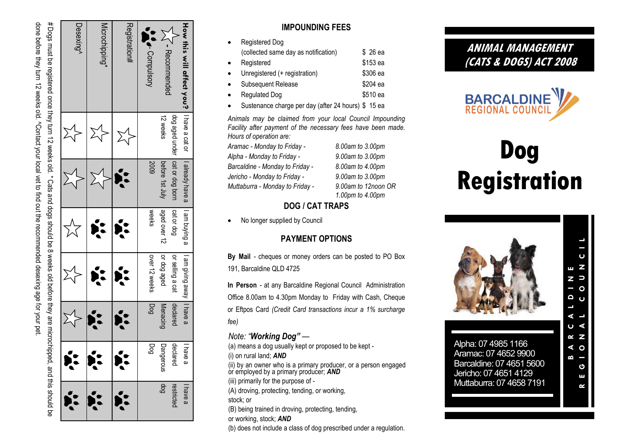done before they turn 12 weeks old. "Contact your local vet to find out the recommended desexing age for your pet # Dogs must be registered once they turn 12 weeks old. \* Cats and dogs should be 8 weeks old before they are microchipped, and this should be # Dogs must be registered once they turn 12 weeks old. \* Cats and dogs should be 8 weeks old before they are microchipped, and this should be done before they turn 12 weeks old. ^Contact your local vet to find out the recommended desexing age for your pet.

| How this will affect you?   I have a cat or | dog aged under   cat or dog born | I already have a | I am buying a<br>cat or dog | or selling a cat<br>I am giving away   I have a | declared        | declared<br>have<br>ω | restricteo<br>l have a |
|---------------------------------------------|----------------------------------|------------------|-----------------------------|-------------------------------------------------|-----------------|-----------------------|------------------------|
| - Recommended                               | 12 weeks                         | before 1st July  | aged over 12                | or dog aged                                     | <b>Menacing</b> | Dangerous             | 6op                    |
| <b>SACA-Compulsory</b>                      |                                  | 5003             | weeks                       | over 12 weeks                                   | pod             | Dog                   |                        |
| ${\sf Regularation}{\rm \#}$                |                                  |                  |                             |                                                 |                 |                       |                        |
| Microchipping*                              |                                  |                  |                             |                                                 |                 |                       |                        |
| Desexing^                                   |                                  |                  |                             |                                                 |                 |                       |                        |

### **IMPOUNDING FEES**

- Registered Dog (collected same day as notification) \$ 26 ea Registered \$153 ea Unregistered (+ registration) \$306 ea Subsequent Release \$204 ea Regulated Dog **\$510 early** \$510 early
- Sustenance charge per day (after 24 hours) \$ 15 ea

*Animals may be claimed from your local Council Impounding Facility after payment of the necessary fees have been made. Hours of operation are:*

*Aramac - Monday to Friday Alpha - Monday to Friday Barcaldine - Monday to Friday Jericho - Monday to Friday Muttaburra - Monday to Friday* 

*- 8.00am to 3.00pm - 9.00am to 3.00pm - 8.00am to 4.00pm - 9.00am to 3.00pm - 9.00am to 12noon OR 1.00pm to 4.00pm*

# **DOG / CAT TRAPS**

No longer supplied by Council

## **PAYMENT OPTIONS**

**By Mail**  - cheques or money orders can be posted to PO Box 191, Barcaldine QLD 4725

In Person - at any Barcaldine Regional Council Administration Office 8.00am to 4.30pm Monday to Friday with Cash, Cheque or Eftpos Card *(Credit Card transactions incur a 1% surcharge fee)*

## *Note: "Working Dog"*  —

(a) means a dog usually kept or proposed to be kept - (i) on rural land; *AND* (ii) by an owner who is a primary producer, or a person engaged or employed by a primary producer; *AND* (iii) primarily for the purpose of - (A) droving, protecting, tending, or working, stock; or (B) being trained in droving, protecting, tending, or working, stock; *AND*

(b) does not include a class of dog prescribed under a regulation.

# **ANIMAL MANAGEMENT (CATS & DOGS) ACT 2008**



# **Dog Registration**